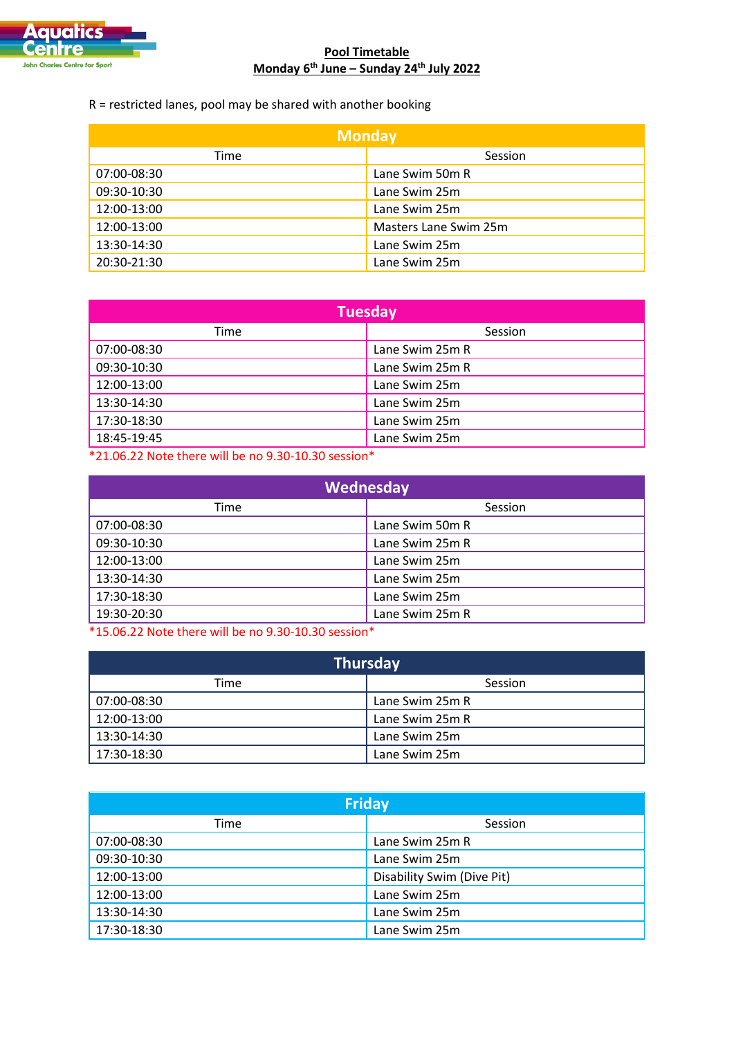

## **Pool Timetable Monday 6th June – Sunday 24th July 2022**

R = restricted lanes, pool may be shared with another booking

| <b>Monday</b> |                       |  |
|---------------|-----------------------|--|
| Time          | Session               |  |
| 07:00-08:30   | Lane Swim 50m R       |  |
| 09:30-10:30   | Lane Swim 25m         |  |
| 12:00-13:00   | Lane Swim 25m         |  |
| 12:00-13:00   | Masters Lane Swim 25m |  |
| 13:30-14:30   | Lane Swim 25m         |  |
| 20:30-21:30   | Lane Swim 25m         |  |

| <b>Tuesday</b> |                 |  |
|----------------|-----------------|--|
| Time           | Session         |  |
| 07:00-08:30    | Lane Swim 25m R |  |
| 09:30-10:30    | Lane Swim 25m R |  |
| 12:00-13:00    | Lane Swim 25m   |  |
| 13:30-14:30    | Lane Swim 25m   |  |
| 17:30-18:30    | Lane Swim 25m   |  |
| 18:45-19:45    | Lane Swim 25m   |  |

\*21.06.22 Note there will be no 9.30-10.30 session\*

| Wednesday   |                 |  |
|-------------|-----------------|--|
| Time        | Session         |  |
| 07:00-08:30 | Lane Swim 50m R |  |
| 09:30-10:30 | Lane Swim 25m R |  |
| 12:00-13:00 | Lane Swim 25m   |  |
| 13:30-14:30 | Lane Swim 25m   |  |
| 17:30-18:30 | Lane Swim 25m   |  |
| 19:30-20:30 | Lane Swim 25m R |  |

\*15.06.22 Note there will be no 9.30-10.30 session\*

| <b>Thursday</b> |                 |  |
|-----------------|-----------------|--|
| Time            | Session         |  |
| 07:00-08:30     | Lane Swim 25m R |  |
| 12:00-13:00     | Lane Swim 25m R |  |
| 13:30-14:30     | Lane Swim 25m   |  |
| 17:30-18:30     | Lane Swim 25m   |  |

| <b>Friday</b> |                            |  |
|---------------|----------------------------|--|
| Time          | Session                    |  |
| 07:00-08:30   | Lane Swim 25m R            |  |
| 09:30-10:30   | Lane Swim 25m              |  |
| 12:00-13:00   | Disability Swim (Dive Pit) |  |
| 12:00-13:00   | Lane Swim 25m              |  |
| 13:30-14:30   | Lane Swim 25m              |  |
| 17:30-18:30   | Lane Swim 25m              |  |